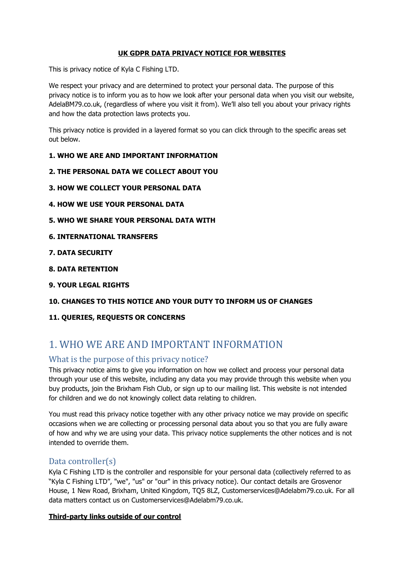#### **UK GDPR DATA PRIVACY NOTICE FOR WEBSITES**

This is privacy notice of Kyla C Fishing LTD.

We respect your privacy and are determined to protect your personal data. The purpose of this privacy notice is to inform you as to how we look after your personal data when you visit our website, AdelaBM79.co.uk, (regardless of where you visit it from). We'll also tell you about your privacy rights and how the data protection laws protects you.

This privacy notice is provided in a layered format so you can click through to the specific areas set out below.

#### **1. WHO WE ARE AND IMPORTANT INFORMATION**

- **2. THE PERSONAL DATA WE COLLECT ABOUT YOU**
- **3. HOW WE COLLECT YOUR PERSONAL DATA**
- **4. HOW WE USE YOUR PERSONAL DATA**
- **5. WHO WE SHARE YOUR PERSONAL DATA WITH**
- **6. INTERNATIONAL TRANSFERS**
- **7. DATA SECURITY**
- **8. DATA RETENTION**
- **9. YOUR LEGAL RIGHTS**

#### **10. CHANGES TO THIS NOTICE AND YOUR DUTY TO INFORM US OF CHANGES**

**11. QUERIES, REQUESTS OR CONCERNS**

## 1. WHO WE ARE AND IMPORTANT INFORMATION

#### What is the purpose of this privacy notice?

This privacy notice aims to give you information on how we collect and process your personal data through your use of this website, including any data you may provide through this website when you buy products, join the Brixham Fish Club, or sign up to our mailing list. This website is not intended for children and we do not knowingly collect data relating to children.

You must read this privacy notice together with any other privacy notice we may provide on specific occasions when we are collecting or processing personal data about you so that you are fully aware of how and why we are using your data. This privacy notice supplements the other notices and is not intended to override them.

#### Data controller(s)

Kyla C Fishing LTD is the controller and responsible for your personal data (collectively referred to as "Kyla C Fishing LTD", "we", "us" or "our" in this privacy notice). Our contact details are Grosvenor House, 1 New Road, Brixham, United Kingdom, TQ5 8LZ, Customerservices@Adelabm79.co.uk. For all data matters contact us on Customerservices@Adelabm79.co.uk.

#### **Third-party links outside of our control**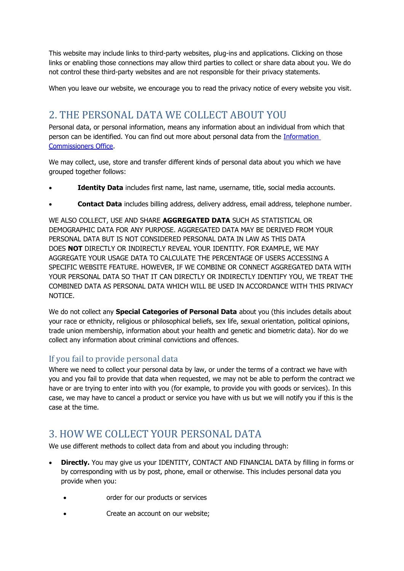This website may include links to third-party websites, plug-ins and applications. Clicking on those links or enabling those connections may allow third parties to collect or share data about you. We do not control these third-party websites and are not responsible for their privacy statements.

When you leave our website, we encourage you to read the privacy notice of every website you visit.

## 2. THE PERSONAL DATA WE COLLECT ABOUT YOU

Personal data, or personal information, means any information about an individual from which that person can be identified. You can find out more about personal data from the [Information](https://ico.org.uk/global/contact-us/)  [Commissioners Office.](https://ico.org.uk/global/contact-us/)

We may collect, use, store and transfer different kinds of personal data about you which we have grouped together follows:

- **Identity Data** includes first name, last name, username, title, social media accounts.
- **Contact Data** includes billing address, delivery address, email address, telephone number.

WE ALSO COLLECT, USE AND SHARE **AGGREGATED DATA** SUCH AS STATISTICAL OR DEMOGRAPHIC DATA FOR ANY PURPOSE. AGGREGATED DATA MAY BE DERIVED FROM YOUR PERSONAL DATA BUT IS NOT CONSIDERED PERSONAL DATA IN LAW AS THIS DATA DOES **NOT** DIRECTLY OR INDIRECTLY REVEAL YOUR IDENTITY. FOR EXAMPLE, WE MAY AGGREGATE YOUR USAGE DATA TO CALCULATE THE PERCENTAGE OF USERS ACCESSING A SPECIFIC WEBSITE FEATURE. HOWEVER, IF WE COMBINE OR CONNECT AGGREGATED DATA WITH YOUR PERSONAL DATA SO THAT IT CAN DIRECTLY OR INDIRECTLY IDENTIFY YOU, WE TREAT THE COMBINED DATA AS PERSONAL DATA WHICH WILL BE USED IN ACCORDANCE WITH THIS PRIVACY NOTICE.

We do not collect any **Special Categories of Personal Data** about you (this includes details about your race or ethnicity, religious or philosophical beliefs, sex life, sexual orientation, political opinions, trade union membership, information about your health and genetic and biometric data). Nor do we collect any information about criminal convictions and offences.

### If you fail to provide personal data

Where we need to collect your personal data by law, or under the terms of a contract we have with you and you fail to provide that data when requested, we may not be able to perform the contract we have or are trying to enter into with you (for example, to provide you with goods or services). In this case, we may have to cancel a product or service you have with us but we will notify you if this is the case at the time.

## 3. HOW WE COLLECT YOUR PERSONAL DATA

We use different methods to collect data from and about you including through:

- **Directly.** You may give us your IDENTITY, CONTACT AND FINANCIAL DATA by filling in forms or by corresponding with us by post, phone, email or otherwise. This includes personal data you provide when you:
	- order for our products or services
	- Create an account on our website;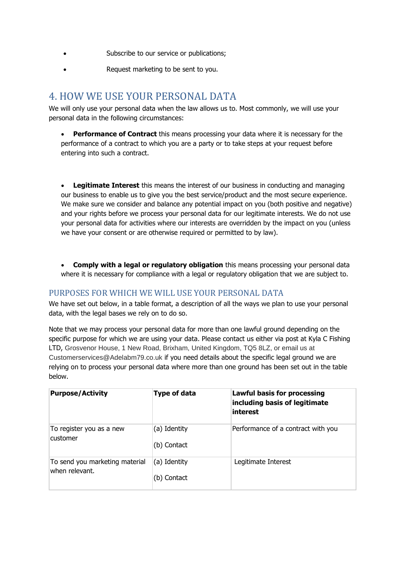- Subscribe to our service or publications;
- Request marketing to be sent to you.

### 4. HOW WE USE YOUR PERSONAL DATA

We will only use your personal data when the law allows us to. Most commonly, we will use your personal data in the following circumstances:

**Performance of Contract** this means processing your data where it is necessary for the performance of a contract to which you are a party or to take steps at your request before entering into such a contract.

• **Legitimate Interest** this means the interest of our business in conducting and managing our business to enable us to give you the best service/product and the most secure experience. We make sure we consider and balance any potential impact on you (both positive and negative) and your rights before we process your personal data for our legitimate interests. We do not use your personal data for activities where our interests are overridden by the impact on you (unless we have your consent or are otherwise required or permitted to by law).

• **Comply with a legal or regulatory obligation** this means processing your personal data where it is necessary for compliance with a legal or regulatory obligation that we are subject to.

#### PURPOSES FOR WHICH WE WILL USE YOUR PERSONAL DATA

We have set out below, in a table format, a description of all the ways we plan to use your personal data, with the legal bases we rely on to do so.

Note that we may process your personal data for more than one lawful ground depending on the specific purpose for which we are using your data. Please contact us either via post at Kyla C Fishing LTD, Grosvenor House, 1 New Road, Brixham, United Kingdom, TQ5 8LZ, or email us at Customerservices@Adelabm79.co.uk if you need details about the specific legal ground we are relying on to process your personal data where more than one ground has been set out in the table below.

| <b>Purpose/Activity</b>                          | <b>Type of data</b>         | <b>Lawful basis for processing</b><br>including basis of legitimate<br>interest |
|--------------------------------------------------|-----------------------------|---------------------------------------------------------------------------------|
| To register you as a new<br>customer             | (a) Identity<br>(b) Contact | Performance of a contract with you                                              |
| To send you marketing material<br>when relevant. | (a) Identity<br>(b) Contact | Legitimate Interest                                                             |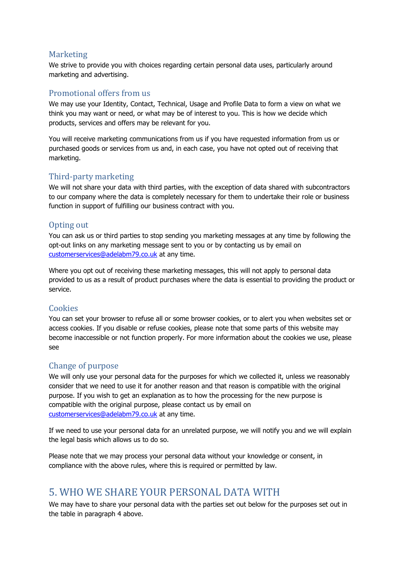#### Marketing

We strive to provide you with choices regarding certain personal data uses, particularly around marketing and advertising.

#### Promotional offers from us

We may use your Identity, Contact, Technical, Usage and Profile Data to form a view on what we think you may want or need, or what may be of interest to you. This is how we decide which products, services and offers may be relevant for you.

You will receive marketing communications from us if you have requested information from us or purchased goods or services from us and, in each case, you have not opted out of receiving that marketing.

#### Third-party marketing

We will not share your data with third parties, with the exception of data shared with subcontractors to our company where the data is completely necessary for them to undertake their role or business function in support of fulfilling our business contract with you.

#### Opting out

You can ask us or third parties to stop sending you marketing messages at any time by following the opt-out links on any marketing message sent to you or by contacting us by email on [customerservices@adelabm79.co.uk](mailto:customerservices@adelabm79.co.uk) at any time.

Where you opt out of receiving these marketing messages, this will not apply to personal data provided to us as a result of product purchases where the data is essential to providing the product or service.

#### **Cookies**

You can set your browser to refuse all or some browser cookies, or to alert you when websites set or access cookies. If you disable or refuse cookies, please note that some parts of this website may become inaccessible or not function properly. For more information about the cookies we use, please see

#### Change of purpose

We will only use your personal data for the purposes for which we collected it, unless we reasonably consider that we need to use it for another reason and that reason is compatible with the original purpose. If you wish to get an explanation as to how the processing for the new purpose is compatible with the original purpose, please contact us by email on [customerservices@adelabm79.co.uk](mailto:customerservices@adelabm79.co.uk) at any time.

If we need to use your personal data for an unrelated purpose, we will notify you and we will explain the legal basis which allows us to do so.

Please note that we may process your personal data without your knowledge or consent, in compliance with the above rules, where this is required or permitted by law.

## 5. WHO WE SHARE YOUR PERSONAL DATA WITH

We may have to share your personal data with the parties set out below for the purposes set out in the table in paragraph 4 above.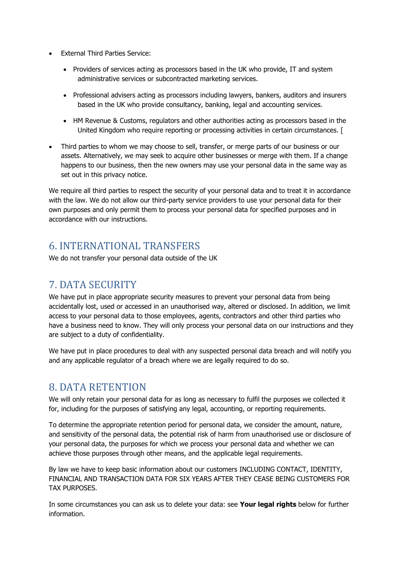- External Third Parties Service:
	- Providers of services acting as processors based in the UK who provide, IT and system administrative services or subcontracted marketing services.
	- Professional advisers acting as processors including lawyers, bankers, auditors and insurers based in the UK who provide consultancy, banking, legal and accounting services.
	- HM Revenue & Customs, regulators and other authorities acting as processors based in the United Kingdom who require reporting or processing activities in certain circumstances. [
- Third parties to whom we may choose to sell, transfer, or merge parts of our business or our assets. Alternatively, we may seek to acquire other businesses or merge with them. If a change happens to our business, then the new owners may use your personal data in the same way as set out in this privacy notice.

We require all third parties to respect the security of your personal data and to treat it in accordance with the law. We do not allow our third-party service providers to use your personal data for their own purposes and only permit them to process your personal data for specified purposes and in accordance with our instructions.

### 6. INTERNATIONAL TRANSFERS

We do not transfer your personal data outside of the UK

### 7. DATA SECURITY

We have put in place appropriate security measures to prevent your personal data from being accidentally lost, used or accessed in an unauthorised way, altered or disclosed. In addition, we limit access to your personal data to those employees, agents, contractors and other third parties who have a business need to know. They will only process your personal data on our instructions and they are subject to a duty of confidentiality.

We have put in place procedures to deal with any suspected personal data breach and will notify you and any applicable regulator of a breach where we are legally required to do so.

### 8. DATA RETENTION

We will only retain your personal data for as long as necessary to fulfil the purposes we collected it for, including for the purposes of satisfying any legal, accounting, or reporting requirements.

To determine the appropriate retention period for personal data, we consider the amount, nature, and sensitivity of the personal data, the potential risk of harm from unauthorised use or disclosure of your personal data, the purposes for which we process your personal data and whether we can achieve those purposes through other means, and the applicable legal requirements.

By law we have to keep basic information about our customers INCLUDING CONTACT, IDENTITY, FINANCIAL AND TRANSACTION DATA FOR SIX YEARS AFTER THEY CEASE BEING CUSTOMERS FOR TAX PURPOSES.

In some circumstances you can ask us to delete your data: see **Your legal rights** below for further information.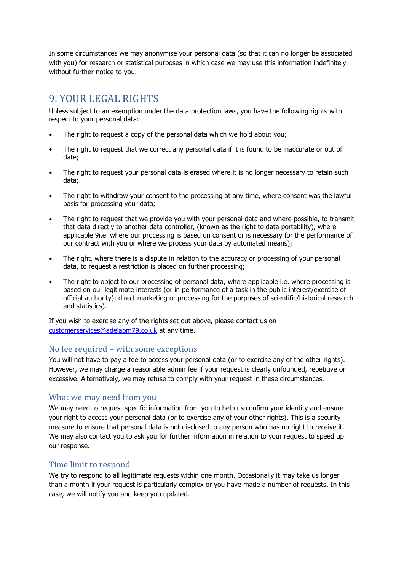In some circumstances we may anonymise your personal data (so that it can no longer be associated with you) for research or statistical purposes in which case we may use this information indefinitely without further notice to you.

# 9. YOUR LEGAL RIGHTS

Unless subject to an exemption under the data protection laws, you have the following rights with respect to your personal data:

- The right to request a copy of the personal data which we hold about you;
- The right to request that we correct any personal data if it is found to be inaccurate or out of date;
- The right to request your personal data is erased where it is no longer necessary to retain such data;
- The right to withdraw your consent to the processing at any time, where consent was the lawful basis for processing your data;
- The right to request that we provide you with your personal data and where possible, to transmit that data directly to another data controller, (known as the right to data portability), where applicable 9i.e. where our processing is based on consent or is necessary for the performance of our contract with you or where we process your data by automated means);
- The right, where there is a dispute in relation to the accuracy or processing of your personal data, to request a restriction is placed on further processing;
- The right to object to our processing of personal data, where applicable i.e. where processing is based on our legitimate interests (or in performance of a task in the public interest/exercise of official authority); direct marketing or processing for the purposes of scientific/historical research and statistics).

If you wish to exercise any of the rights set out above, please contact us on [customerservices@adelabm79.co.uk](mailto:customerservices@adelabm79.co.uk) at any time.

#### No fee required – with some exceptions

You will not have to pay a fee to access your personal data (or to exercise any of the other rights). However, we may charge a reasonable admin fee if your request is clearly unfounded, repetitive or excessive. Alternatively, we may refuse to comply with your request in these circumstances.

#### What we may need from you

We may need to request specific information from you to help us confirm your identity and ensure your right to access your personal data (or to exercise any of your other rights). This is a security measure to ensure that personal data is not disclosed to any person who has no right to receive it. We may also contact you to ask you for further information in relation to your request to speed up our response.

#### Time limit to respond

We try to respond to all legitimate requests within one month. Occasionally it may take us longer than a month if your request is particularly complex or you have made a number of requests. In this case, we will notify you and keep you updated.